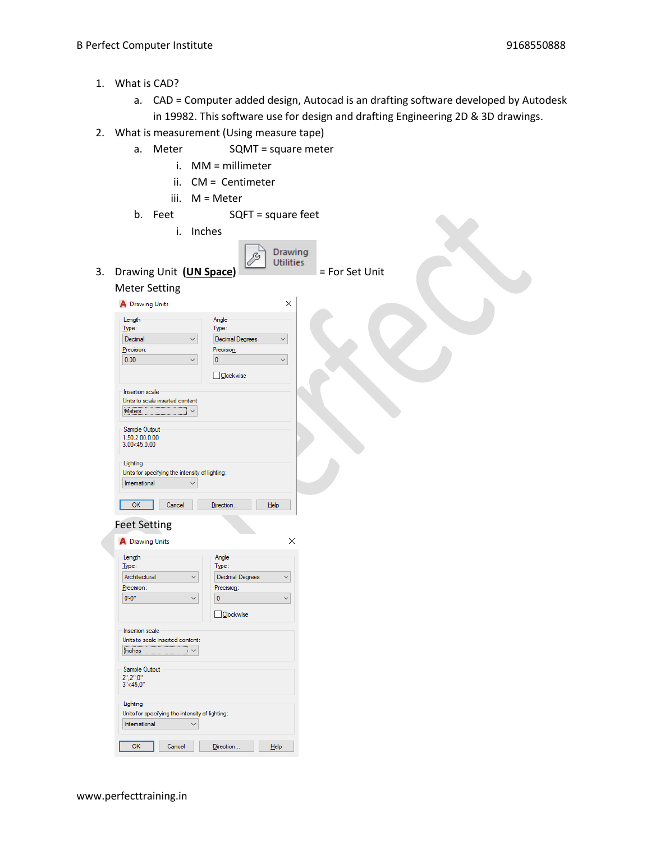- 1. What is CAD?
	- a. CAD = Computer added design, Autocad is an drafting software developed by Autodesk in 19982. This software use for design and drafting Engineering 2D & 3D drawings.
- 2. What is measurement (Using measure tape)
	- a. Meter SQMT = square meter
		- i. MM = millimeter
		- ii. CM = Centimeter
		- iii. M = Meter
	- b. Feet SQFT = square feet
- i. Inches Drawing jČ, 3. Drawing Unit **(UN Space)** = For Set Unit Meter Setting A Drawing Units  $\times$ Length Angle Type: Type: Decimal Decimal Degrees  $\checkmark$ Precision: Precision:  $0.00$  $\overline{0}$  $\overline{\mathbf{v}}$  $\checkmark$ **Oockwise** Insertion scale Units to scale inserted content:  $Notes  $\vee$$ </u> Sample Output  $1.50, 2.00, 0.00$ <br> $3.00<45, 0.00$ Lighting Units for specifying the intensity of lighting: International  $\checkmark$ OK Cancel Direction...  $He$ Feet Setting A Drawing Units  $\times$ Length Angle Type: Type: Architectural Decimal Degrees  $\checkmark$  $\checkmark$ Precision: Precision:  $0 - 0$ "  $\pmb{0}$  $\checkmark$  $\checkmark$  $\Box$  Clockwise Insertion scale Units to scale inserted content: **Inches** ∏ ∽∣ Sample Output  $2".2".0"$ <br> $3''.45.0"$ Lighting Units for specifying the intensity of lighting: International  $\checkmark$  $OK$ Cancel Direction...  $He$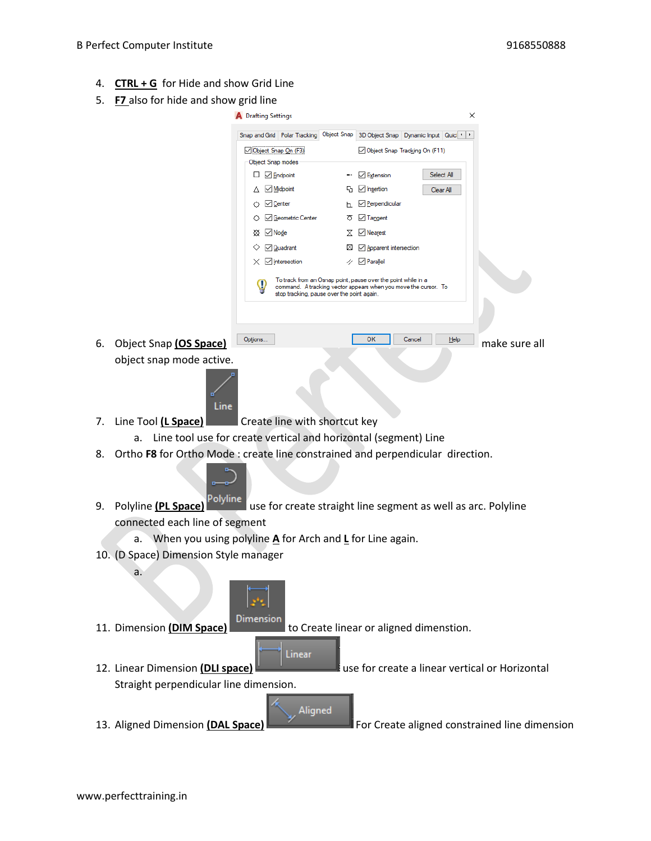- 4. **CTRL + G** for Hide and show Grid Line
- 5. **F7** also for hide and show grid line

|                                                                                              |                                                                                                  | <b>A</b> Drafting Settings |                                                |                                            |                                                                                                                                  | ×      |            |                                               |
|----------------------------------------------------------------------------------------------|--------------------------------------------------------------------------------------------------|----------------------------|------------------------------------------------|--------------------------------------------|----------------------------------------------------------------------------------------------------------------------------------|--------|------------|-----------------------------------------------|
|                                                                                              |                                                                                                  |                            |                                                |                                            | Snap and Grid Polar Tracking Object Snap 3D Object Snap Dynamic Input Quic 1   1                                                 |        |            |                                               |
|                                                                                              |                                                                                                  |                            | ○ Object Snap On (F3)                          | Object Snap Tracking On (F11)              |                                                                                                                                  |        |            |                                               |
|                                                                                              |                                                                                                  |                            | Object Snap modes                              |                                            |                                                                                                                                  |        |            |                                               |
|                                                                                              |                                                                                                  |                            | $\Box$ $\Box$ Endpoint                         |                                            | $\overline{\phantom{a}}$ Extension                                                                                               |        | Select All |                                               |
|                                                                                              |                                                                                                  |                            | △ △ Midpoint                                   |                                            | B ∠ Insertion                                                                                                                    |        | Clear All  |                                               |
|                                                                                              |                                                                                                  |                            | $\bigcirc$ $\vee$ Center<br>√ Geometric Center | ਨ                                          | √ Perpendicular<br>$\vee$ Tangent                                                                                                |        |            |                                               |
|                                                                                              |                                                                                                  |                            | $\otimes$ $\vee$ Node                          |                                            | $\vee$ Nearest                                                                                                                   |        |            |                                               |
|                                                                                              |                                                                                                  |                            | $\sqrt{Q}$ uadrant                             | ⊠                                          | √ Apparent intersection                                                                                                          |        |            |                                               |
|                                                                                              |                                                                                                  |                            | $\times \nabla$ Intersection                   |                                            | $\vee$ Parallel                                                                                                                  |        |            |                                               |
|                                                                                              |                                                                                                  |                            |                                                | stop tracking, pause over the point again. | To track from an Osnap point, pause over the point while in a<br>command. A tracking vector appears when you move the cursor. To |        |            |                                               |
|                                                                                              |                                                                                                  |                            |                                                |                                            |                                                                                                                                  |        |            |                                               |
| 6.                                                                                           | Object Snap (OS Space)                                                                           |                            | Options                                        |                                            | OK                                                                                                                               | Cancel | Help       | make sure all                                 |
|                                                                                              | object snap mode active.                                                                         |                            |                                                |                                            |                                                                                                                                  |        |            |                                               |
|                                                                                              | Line                                                                                             |                            |                                                |                                            |                                                                                                                                  |        |            |                                               |
| 7.                                                                                           | Line Tool (L Space)<br>Create line with shortcut key                                             |                            |                                                |                                            |                                                                                                                                  |        |            |                                               |
|                                                                                              | Line tool use for create vertical and horizontal (segment) Line<br>а.                            |                            |                                                |                                            |                                                                                                                                  |        |            |                                               |
| 8.                                                                                           | Ortho F8 for Ortho Mode : create line constrained and perpendicular direction.                   |                            |                                                |                                            |                                                                                                                                  |        |            |                                               |
| 9.                                                                                           | Polyline<br>Polyline (PL Space)<br>use for create straight line segment as well as arc. Polyline |                            |                                                |                                            |                                                                                                                                  |        |            |                                               |
|                                                                                              | connected each line of segment                                                                   |                            |                                                |                                            |                                                                                                                                  |        |            |                                               |
| a. When you using polyline $\triangle$ for Arch and $\angle$ for Line again.                 |                                                                                                  |                            |                                                |                                            |                                                                                                                                  |        |            |                                               |
| 10. (D Space) Dimension Style manager                                                        |                                                                                                  |                            |                                                |                                            |                                                                                                                                  |        |            |                                               |
|                                                                                              | a.                                                                                               |                            |                                                |                                            |                                                                                                                                  |        |            |                                               |
|                                                                                              | Dimension<br>to Create linear or aligned dimenstion.<br>11. Dimension (DIM Space)                |                            |                                                |                                            |                                                                                                                                  |        |            |                                               |
| Linear<br>use for create a linear vertical or Horizontal<br>12. Linear Dimension (DLI space) |                                                                                                  |                            |                                                |                                            |                                                                                                                                  |        |            |                                               |
|                                                                                              | Straight perpendicular line dimension.                                                           |                            |                                                |                                            |                                                                                                                                  |        |            |                                               |
|                                                                                              | 13. Aligned Dimension (DAL Space)                                                                |                            |                                                | Aligned                                    |                                                                                                                                  |        |            | For Create aligned constrained line dimension |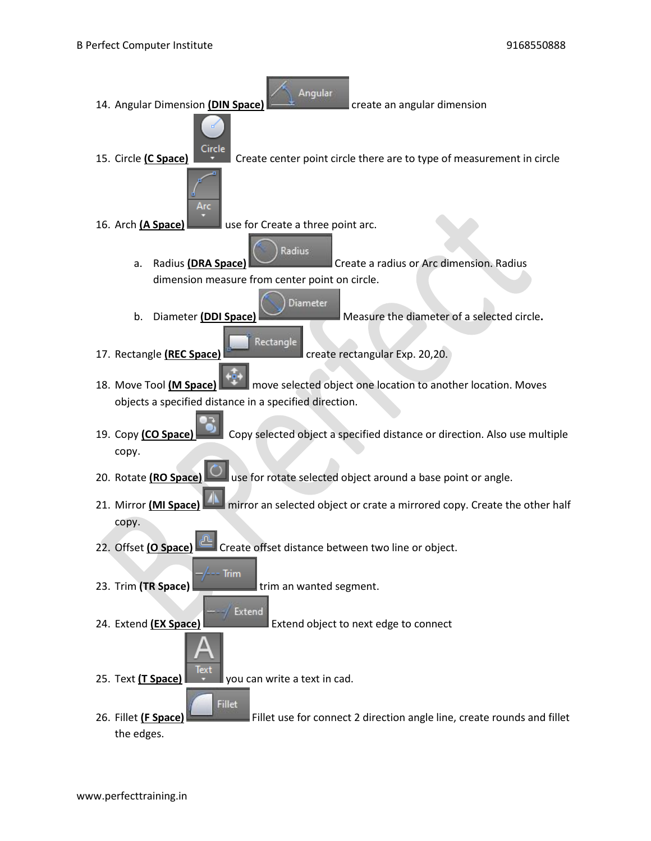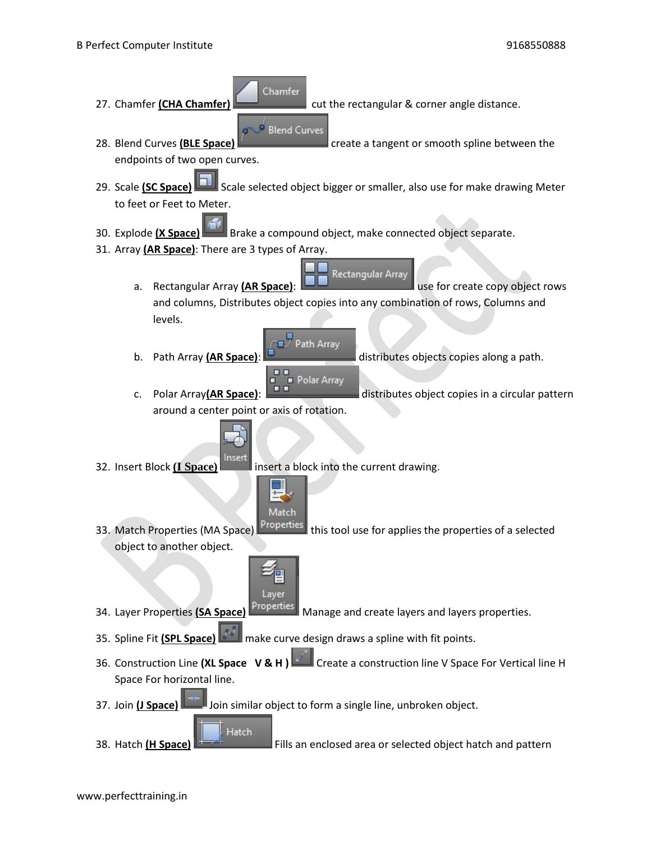